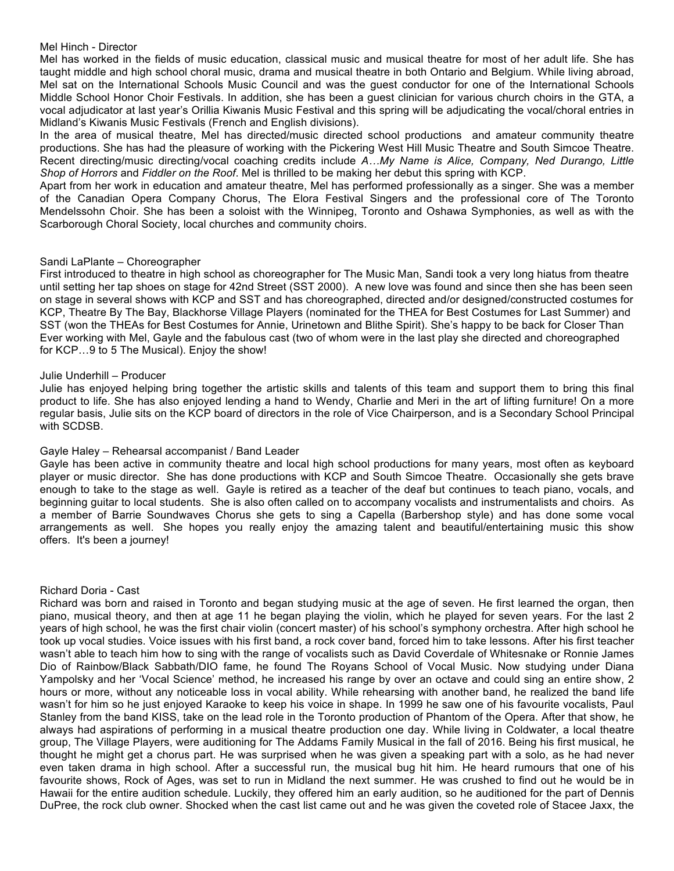### Mel Hinch - Director

Mel has worked in the fields of music education, classical music and musical theatre for most of her adult life. She has taught middle and high school choral music, drama and musical theatre in both Ontario and Belgium. While living abroad, Mel sat on the International Schools Music Council and was the guest conductor for one of the International Schools Middle School Honor Choir Festivals. In addition, she has been a guest clinician for various church choirs in the GTA, a vocal adjudicator at last year's Orillia Kiwanis Music Festival and this spring will be adjudicating the vocal/choral entries in Midland's Kiwanis Music Festivals (French and English divisions).

In the area of musical theatre, Mel has directed/music directed school productions and amateur community theatre productions. She has had the pleasure of working with the Pickering West Hill Music Theatre and South Simcoe Theatre. Recent directing/music directing/vocal coaching credits include *A…My Name is Alice, Company, Ned Durango, Little Shop of Horrors* and *Fiddler on the Roof*. Mel is thrilled to be making her debut this spring with KCP.

Apart from her work in education and amateur theatre, Mel has performed professionally as a singer. She was a member of the Canadian Opera Company Chorus, The Elora Festival Singers and the professional core of The Toronto Mendelssohn Choir. She has been a soloist with the Winnipeg, Toronto and Oshawa Symphonies, as well as with the Scarborough Choral Society, local churches and community choirs.

# Sandi LaPlante – Choreographer

First introduced to theatre in high school as choreographer for The Music Man, Sandi took a very long hiatus from theatre until setting her tap shoes on stage for 42nd Street (SST 2000). A new love was found and since then she has been seen on stage in several shows with KCP and SST and has choreographed, directed and/or designed/constructed costumes for KCP, Theatre By The Bay, Blackhorse Village Players (nominated for the THEA for Best Costumes for Last Summer) and SST (won the THEAs for Best Costumes for Annie, Urinetown and Blithe Spirit). She's happy to be back for Closer Than Ever working with Mel, Gayle and the fabulous cast (two of whom were in the last play she directed and choreographed for KCP…9 to 5 The Musical). Enjoy the show!

# Julie Underhill – Producer

Julie has enjoyed helping bring together the artistic skills and talents of this team and support them to bring this final product to life. She has also enjoyed lending a hand to Wendy, Charlie and Meri in the art of lifting furniture! On a more regular basis, Julie sits on the KCP board of directors in the role of Vice Chairperson, and is a Secondary School Principal with SCDSB.

# Gayle Haley – Rehearsal accompanist / Band Leader

Gayle has been active in community theatre and local high school productions for many years, most often as keyboard player or music director. She has done productions with KCP and South Simcoe Theatre. Occasionally she gets brave enough to take to the stage as well. Gayle is retired as a teacher of the deaf but continues to teach piano, vocals, and beginning guitar to local students. She is also often called on to accompany vocalists and instrumentalists and choirs. As a member of Barrie Soundwaves Chorus she gets to sing a Capella (Barbershop style) and has done some vocal arrangements as well. She hopes you really enjoy the amazing talent and beautiful/entertaining music this show offers. It's been a journey!

#### Richard Doria - Cast

Richard was born and raised in Toronto and began studying music at the age of seven. He first learned the organ, then piano, musical theory, and then at age 11 he began playing the violin, which he played for seven years. For the last 2 years of high school, he was the first chair violin (concert master) of his school's symphony orchestra. After high school he took up vocal studies. Voice issues with his first band, a rock cover band, forced him to take lessons. After his first teacher wasn't able to teach him how to sing with the range of vocalists such as David Coverdale of Whitesnake or Ronnie James Dio of Rainbow/Black Sabbath/DIO fame, he found The Royans School of Vocal Music. Now studying under Diana Yampolsky and her 'Vocal Science' method, he increased his range by over an octave and could sing an entire show, 2 hours or more, without any noticeable loss in vocal ability. While rehearsing with another band, he realized the band life wasn't for him so he just enjoyed Karaoke to keep his voice in shape. In 1999 he saw one of his favourite vocalists, Paul Stanley from the band KISS, take on the lead role in the Toronto production of Phantom of the Opera. After that show, he always had aspirations of performing in a musical theatre production one day. While living in Coldwater, a local theatre group, The Village Players, were auditioning for The Addams Family Musical in the fall of 2016. Being his first musical, he thought he might get a chorus part. He was surprised when he was given a speaking part with a solo, as he had never even taken drama in high school. After a successful run, the musical bug hit him. He heard rumours that one of his favourite shows, Rock of Ages, was set to run in Midland the next summer. He was crushed to find out he would be in Hawaii for the entire audition schedule. Luckily, they offered him an early audition, so he auditioned for the part of Dennis DuPree, the rock club owner. Shocked when the cast list came out and he was given the coveted role of Stacee Jaxx, the